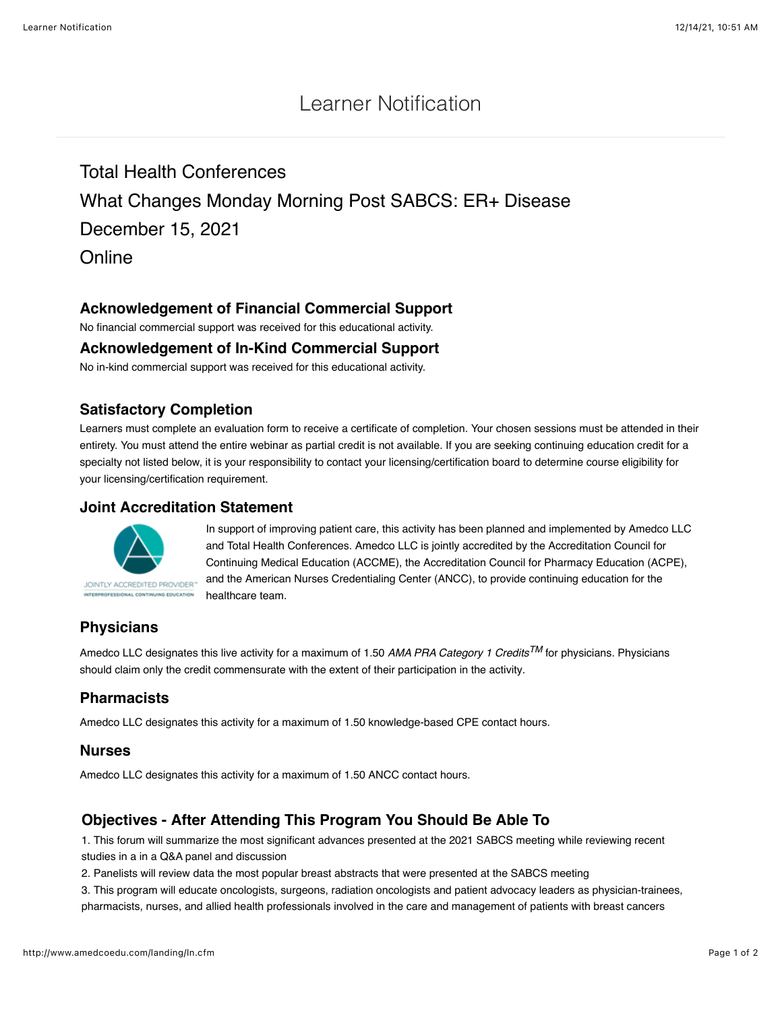# Learner Notification

Total Health Conferences What Changes Monday Morning Post SABCS: ER+ Disease December 15, 2021 **Online** 

## **Acknowledgement of Financial Commercial Support**

No financial commercial support was received for this educational activity.

#### **Acknowledgement of In-Kind Commercial Support**

No in-kind commercial support was received for this educational activity.

### **Satisfactory Completion**

Learners must complete an evaluation form to receive a certificate of completion. Your chosen sessions must be attended in their entirety. You must attend the entire webinar as partial credit is not available. If you are seeking continuing education credit for a specialty not listed below, it is your responsibility to contact your licensing/certification board to determine course eligibility for your licensing/certification requirement.

#### **Joint Accreditation Statement**



In support of improving patient care, this activity has been planned and implemented by Amedco LLC and Total Health Conferences. Amedco LLC is jointly accredited by the Accreditation Council for Continuing Medical Education (ACCME), the Accreditation Council for Pharmacy Education (ACPE), and the American Nurses Credentialing Center (ANCC), to provide continuing education for the healthcare team.

# **Physicians**

Amedco LLC designates this live activity for a maximum of 1.50 *AMA PRA Category 1 CreditsTM* for physicians. Physicians should claim only the credit commensurate with the extent of their participation in the activity.

# **Pharmacists**

Amedco LLC designates this activity for a maximum of 1.50 knowledge-based CPE contact hours.

#### **Nurses**

Amedco LLC designates this activity for a maximum of 1.50 ANCC contact hours.

# **Objectives - After Attending This Program You Should Be Able To**

1. This forum will summarize the most significant advances presented at the 2021 SABCS meeting while reviewing recent studies in a in a Q&A panel and discussion

2. Panelists will review data the most popular breast abstracts that were presented at the SABCS meeting

3. This program will educate oncologists, surgeons, radiation oncologists and patient advocacy leaders as physician-trainees, pharmacists, nurses, and allied health professionals involved in the care and management of patients with breast cancers